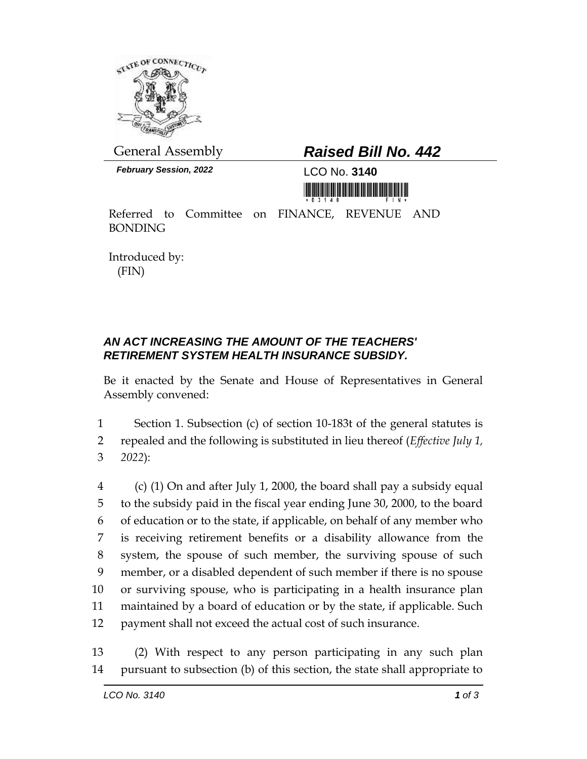

*February Session, 2022* LCO No. **3140**

## General Assembly *Raised Bill No. 442*

<u> III yn yn yn yr yr American a mewn y y</u>

Referred to Committee on FINANCE, REVENUE AND BONDING

Introduced by: (FIN)

## *AN ACT INCREASING THE AMOUNT OF THE TEACHERS' RETIREMENT SYSTEM HEALTH INSURANCE SUBSIDY.*

Be it enacted by the Senate and House of Representatives in General Assembly convened:

1 Section 1. Subsection (c) of section 10-183t of the general statutes is 2 repealed and the following is substituted in lieu thereof (*Effective July 1,*  3 *2022*):

 (c) (1) On and after July 1, 2000, the board shall pay a subsidy equal to the subsidy paid in the fiscal year ending June 30, 2000, to the board of education or to the state, if applicable, on behalf of any member who is receiving retirement benefits or a disability allowance from the system, the spouse of such member, the surviving spouse of such member, or a disabled dependent of such member if there is no spouse or surviving spouse, who is participating in a health insurance plan maintained by a board of education or by the state, if applicable. Such payment shall not exceed the actual cost of such insurance.

13 (2) With respect to any person participating in any such plan 14 pursuant to subsection (b) of this section, the state shall appropriate to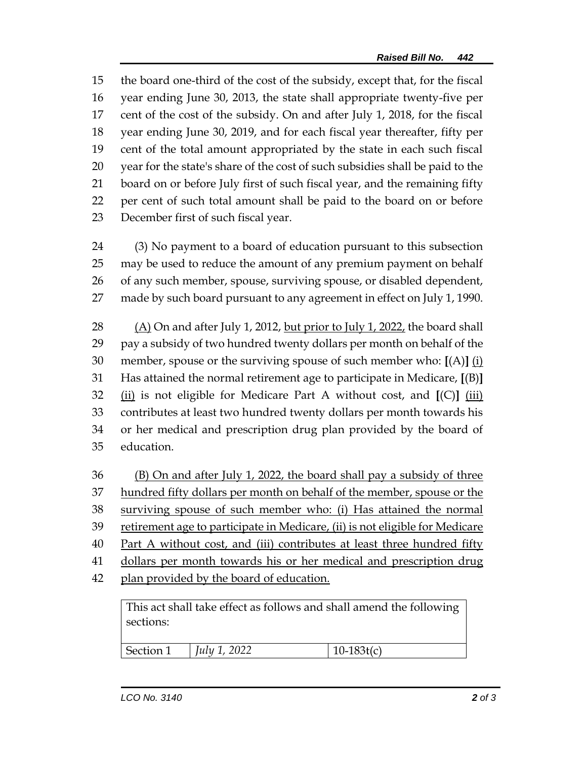the board one-third of the cost of the subsidy, except that, for the fiscal year ending June 30, 2013, the state shall appropriate twenty-five per cent of the cost of the subsidy. On and after July 1, 2018, for the fiscal year ending June 30, 2019, and for each fiscal year thereafter, fifty per cent of the total amount appropriated by the state in each such fiscal year for the state's share of the cost of such subsidies shall be paid to the board on or before July first of such fiscal year, and the remaining fifty per cent of such total amount shall be paid to the board on or before December first of such fiscal year.

 (3) No payment to a board of education pursuant to this subsection may be used to reduce the amount of any premium payment on behalf of any such member, spouse, surviving spouse, or disabled dependent, made by such board pursuant to any agreement in effect on July 1, 1990.

 (A) On and after July 1, 2012, but prior to July 1, 2022, the board shall pay a subsidy of two hundred twenty dollars per month on behalf of the member, spouse or the surviving spouse of such member who: **[**(A)**]** (i) Has attained the normal retirement age to participate in Medicare, **[**(B)**]** (ii) is not eligible for Medicare Part A without cost, and **[**(C)**]** (iii) contributes at least two hundred twenty dollars per month towards his or her medical and prescription drug plan provided by the board of education.

 (B) On and after July 1, 2022, the board shall pay a subsidy of three hundred fifty dollars per month on behalf of the member, spouse or the surviving spouse of such member who: (i) Has attained the normal retirement age to participate in Medicare, (ii) is not eligible for Medicare Part A without cost, and (iii) contributes at least three hundred fifty dollars per month towards his or her medical and prescription drug plan provided by the board of education.

This act shall take effect as follows and shall amend the following sections:

| <u>വധാ</u><br>Section 1<br>July 1,<br> |  |
|----------------------------------------|--|